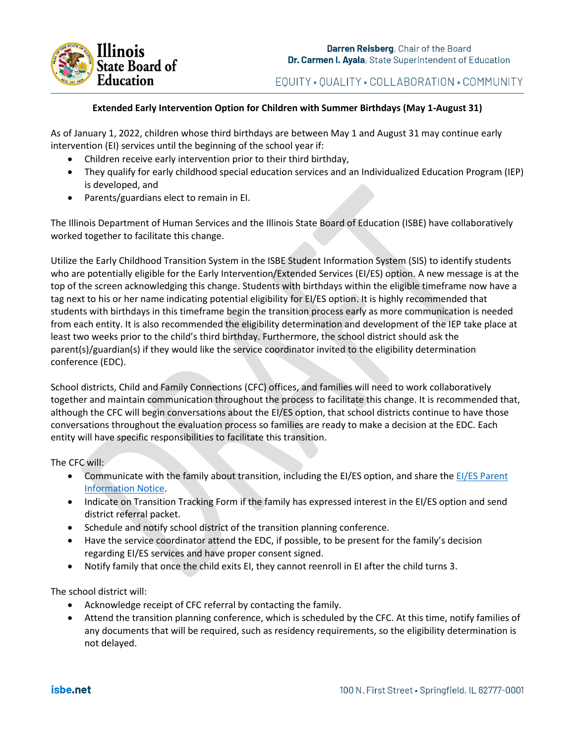

EQUITY · QUALITY · COLLABORATION · COMMUNITY

## **Extended Early Intervention Option for Children with Summer Birthdays (May 1-August 31)**

As of January 1, 2022, children whose third birthdays are between May 1 and August 31 may continue early intervention (EI) services until the beginning of the school year if:

- Children receive early intervention prior to their third birthday,
- They qualify for early childhood special education services and an Individualized Education Program (IEP) is developed, and
- Parents/guardians elect to remain in EI.

The Illinois Department of Human Services and the Illinois State Board of Education (ISBE) have collaboratively worked together to facilitate this change.

Utilize the Early Childhood Transition System in the ISBE Student Information System (SIS) to identify students who are potentially eligible for the Early Intervention/Extended Services (EI/ES) option. A new message is at the top of the screen acknowledging this change. Students with birthdays within the eligible timeframe now have a tag next to his or her name indicating potential eligibility for EI/ES option. It is highly recommended that students with birthdays in this timeframe begin the transition process early as more communication is needed from each entity. It is also recommended the eligibility determination and development of the IEP take place at least two weeks prior to the child's third birthday. Furthermore, the school district should ask the parent(s)/guardian(s) if they would like the service coordinator invited to the eligibility determination conference (EDC).

School districts, Child and Family Connections (CFC) offices, and families will need to work collaboratively together and maintain communication throughout the process to facilitate this change. It is recommended that, although the CFC will begin conversations about the EI/ES option, that school districts continue to have those conversations throughout the evaluation process so families are ready to make a decision at the EDC. Each entity will have specific responsibilities to facilitate this transition.

The CFC will:

- Communicate with the family about transition, including the EI/ES option, and share the EI/ES Parent [Information Notice.](http://www.wiu.edu/coehs/provider_connections/pdf/EI-ES%20Parent%20Notice%20Final%2020211028.pdf)
- Indicate on Transition Tracking Form if the family has expressed interest in the EI/ES option and send district referral packet.
- Schedule and notify school district of the transition planning conference.
- Have the service coordinator attend the EDC, if possible, to be present for the family's decision regarding EI/ES services and have proper consent signed.
- Notify family that once the child exits EI, they cannot reenroll in EI after the child turns 3.

The school district will:

- Acknowledge receipt of CFC referral by contacting the family.
- Attend the transition planning conference, which is scheduled by the CFC. At this time, notify families of any documents that will be required, such as residency requirements, so the eligibility determination is not delayed.